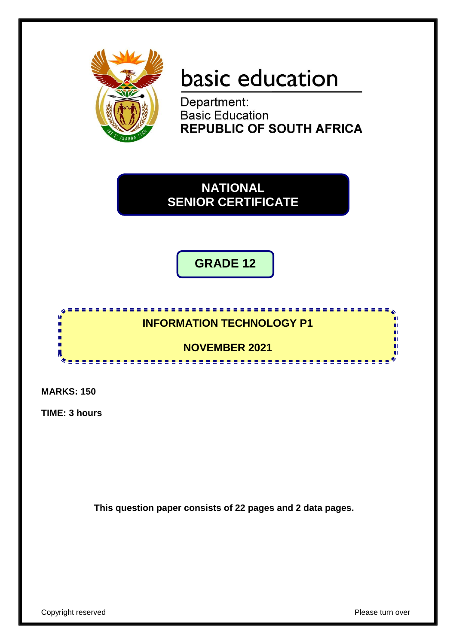

# basic education

Department: **Basic Education REPUBLIC OF SOUTH AFRICA** 

**NATIONAL SENIOR CERTIFICATE**

**GRADE 12**



**MARKS: 150**

**TIME: 3 hours**

**This question paper consists of 22 pages and 2 data pages.**

Copyright reserved **Please** turn over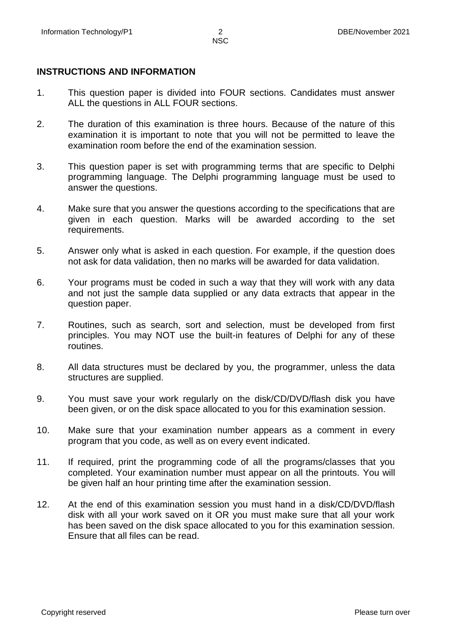#### **INSTRUCTIONS AND INFORMATION**

- 1. This question paper is divided into FOUR sections. Candidates must answer ALL the questions in ALL FOUR sections.
- 2. The duration of this examination is three hours. Because of the nature of this examination it is important to note that you will not be permitted to leave the examination room before the end of the examination session.
- 3. This question paper is set with programming terms that are specific to Delphi programming language. The Delphi programming language must be used to answer the questions.
- 4. Make sure that you answer the questions according to the specifications that are given in each question. Marks will be awarded according to the set requirements.
- 5. Answer only what is asked in each question. For example, if the question does not ask for data validation, then no marks will be awarded for data validation.
- 6. Your programs must be coded in such a way that they will work with any data and not just the sample data supplied or any data extracts that appear in the question paper.
- 7. Routines, such as search, sort and selection, must be developed from first principles. You may NOT use the built-in features of Delphi for any of these routines.
- 8. All data structures must be declared by you, the programmer, unless the data structures are supplied.
- 9. You must save your work regularly on the disk/CD/DVD/flash disk you have been given, or on the disk space allocated to you for this examination session.
- 10. Make sure that your examination number appears as a comment in every program that you code, as well as on every event indicated.
- 11. If required, print the programming code of all the programs/classes that you completed. Your examination number must appear on all the printouts. You will be given half an hour printing time after the examination session.
- 12. At the end of this examination session you must hand in a disk/CD/DVD/flash disk with all your work saved on it OR you must make sure that all your work has been saved on the disk space allocated to you for this examination session. Ensure that all files can be read.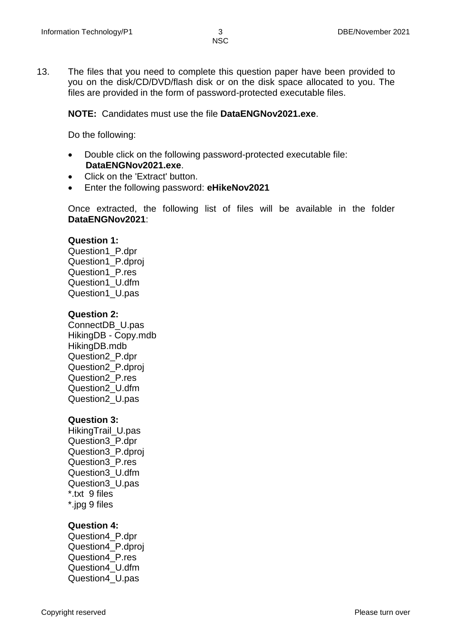13. The files that you need to complete this question paper have been provided to you on the disk/CD/DVD/flash disk or on the disk space allocated to you. The files are provided in the form of password-protected executable files.

**NOTE:** Candidates must use the file **DataENGNov2021.exe**.

Do the following:

- Double click on the following password-protected executable file: **DataENGNov2021.exe**.
- Click on the 'Extract' button.
- Enter the following password: **eHikeNov2021**

Once extracted, the following list of files will be available in the folder **DataENGNov2021**:

#### **Question 1:**

Question1\_P.dpr Question1\_P.dproj Question1\_P.res Question1\_U.dfm Question1\_U.pas

#### **Question 2:**

ConnectDB\_U.pas HikingDB - Copy.mdb HikingDB.mdb Question2\_P.dpr Question2\_P.dproj Question2\_P.res Question2\_U.dfm Question2\_U.pas

#### **Question 3:**

HikingTrail\_U.pas Question3\_P.dpr Question3\_P.dproj Question3\_P.res Question3\_U.dfm Question3\_U.pas \*.txt 9 files \*.jpg 9 files

# **Question 4:**

Question4\_P.dpr Question4\_P.dproj Question4\_P.res Question4\_U.dfm Question4\_U.pas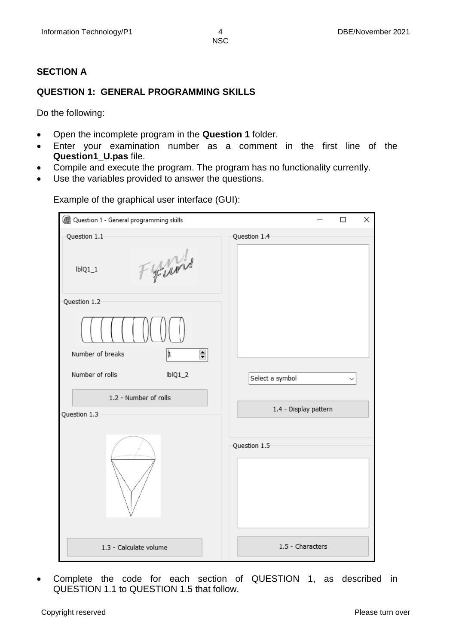# **SECTION A**

# **QUESTION 1: GENERAL PROGRAMMING SKILLS**

Do the following:

- Open the incomplete program in the **Question 1** folder.
- Enter your examination number as a comment in the first line of the **Question1\_U.pas** file.
- Compile and execute the program. The program has no functionality currently.
- Use the variables provided to answer the questions.

| Question 1 - General programming skills | X<br>□                |
|-----------------------------------------|-----------------------|
| Question 1.1                            | Question 1.4          |
| Frand<br>$IblQ1_1$                      |                       |
| Question 1.2                            |                       |
|                                         |                       |
| ∣⊧<br>$\Rightarrow$<br>Number of breaks |                       |
| Number of rolls<br>$IblQ1_2$            | Select a symbol       |
| 1.2 - Number of rolls                   |                       |
| Question 1.3                            | 1.4 - Display pattern |
|                                         | Question 1.5          |
| 1.3 - Calculate volume                  | 1.5 - Characters      |

Example of the graphical user interface (GUI):

 Complete the code for each section of QUESTION 1, as described in QUESTION 1.1 to QUESTION 1.5 that follow.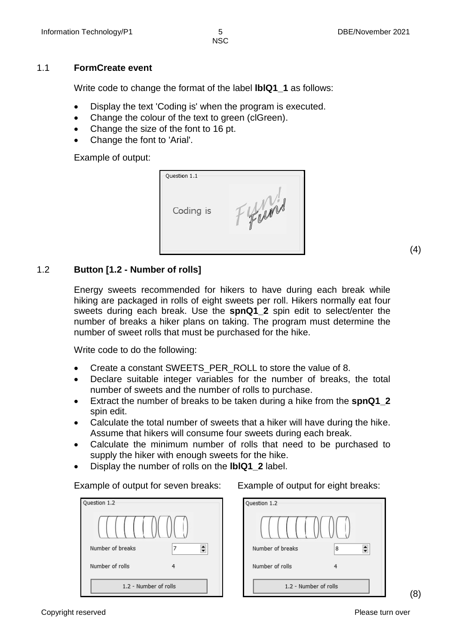#### 1.1 **FormCreate event**

Write code to change the format of the label **lblQ1\_1** as follows:

- Display the text 'Coding is' when the program is executed.
- Change the colour of the text to green (clGreen).
- Change the size of the font to 16 pt.
- Change the font to 'Arial'.

Example of output:

| Question 1.1 |      |
|--------------|------|
| Coding is    | Turn |

(4)

### 1.2 **Button [1.2 - Number of rolls]**

Energy sweets recommended for hikers to have during each break while hiking are packaged in rolls of eight sweets per roll. Hikers normally eat four sweets during each break. Use the **spnQ1\_2** spin edit to select/enter the number of breaks a hiker plans on taking. The program must determine the number of sweet rolls that must be purchased for the hike.

Write code to do the following:

- Create a constant SWEETS PER ROLL to store the value of 8.
- Declare suitable integer variables for the number of breaks, the total number of sweets and the number of rolls to purchase.
- Extract the number of breaks to be taken during a hike from the **spnQ1\_2** spin edit.
- Calculate the total number of sweets that a hiker will have during the hike. Assume that hikers will consume four sweets during each break.
- Calculate the minimum number of rolls that need to be purchased to supply the hiker with enough sweets for the hike.
- Display the number of rolls on the **lblQ1\_2** label.

Example of output for seven breaks: Example of output for eight breaks:

| Question 1.2          |   |
|-----------------------|---|
| Number of breaks      | 7 |
| Number of rolls       | 4 |
| 1.2 - Number of rolls |   |



(8)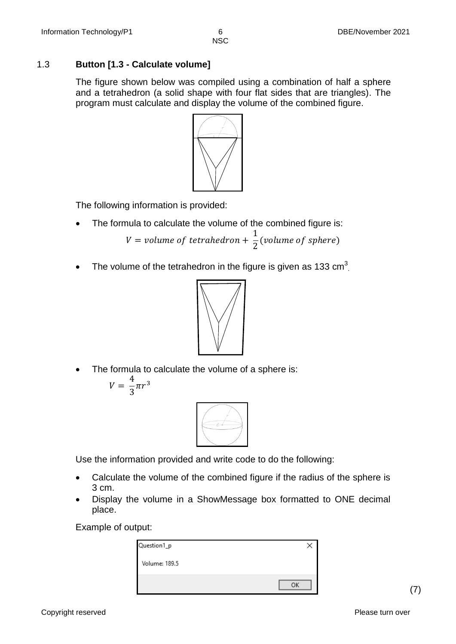# 1.3 **Button [1.3 - Calculate volume]**

The figure shown below was compiled using a combination of half a sphere and a tetrahedron (a solid shape with four flat sides that are triangles). The program must calculate and display the volume of the combined figure.



The following information is provided:

• The formula to calculate the volume of the combined figure is:

$$
V = volume of tetrahedron + \frac{1}{2}(volume of sphere)
$$

• The volume of the tetrahedron in the figure is given as 133  $\text{cm}^3$ .



• The formula to calculate the volume of a sphere is:

$$
V=\frac{4}{3}\pi r^3
$$



Use the information provided and write code to do the following:

- Calculate the volume of the combined figure if the radius of the sphere is 3 cm.
- Display the volume in a ShowMessage box formatted to ONE decimal place.

Example of output:

| Question1_p   |    |
|---------------|----|
| Volume: 189.5 |    |
|               | ΩK |

(7)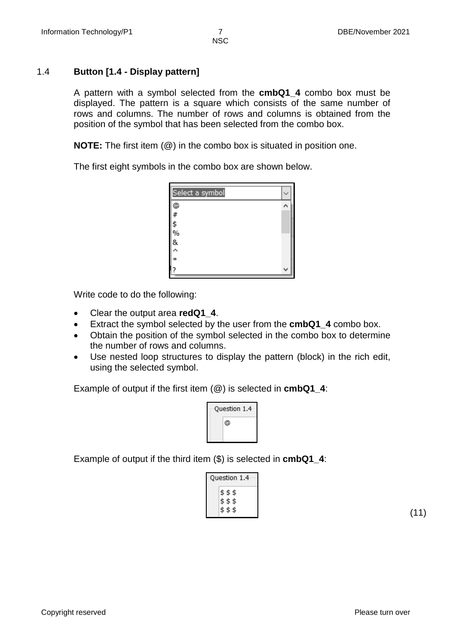# 1.4 **Button [1.4 - Display pattern]**

A pattern with a symbol selected from the **cmbQ1\_4** combo box must be displayed. The pattern is a square which consists of the same number of rows and columns. The number of rows and columns is obtained from the position of the symbol that has been selected from the combo box.

**NOTE:** The first item (@) in the combo box is situated in position one.

The first eight symbols in the combo box are shown below.

| Select a symbol |  |
|-----------------|--|
| @<br>#          |  |
|                 |  |
|                 |  |
| \$<br>%<br>&    |  |
|                 |  |
| λ               |  |
| ÷               |  |
|                 |  |

Write code to do the following:

- Clear the output area **redQ1\_4**.
- Extract the symbol selected by the user from the **cmbQ1\_4** combo box.
- Obtain the position of the symbol selected in the combo box to determine the number of rows and columns.
- Use nested loop structures to display the pattern (block) in the rich edit, using the selected symbol.

Example of output if the first item (@) is selected in **cmbQ1\_4**:



Example of output if the third item (\$) is selected in **cmbQ1\_4**:

| uestion 1.4                    |
|--------------------------------|
| \$\$\$<br>\$\$\$<br>\$\$<br>\$ |

(11)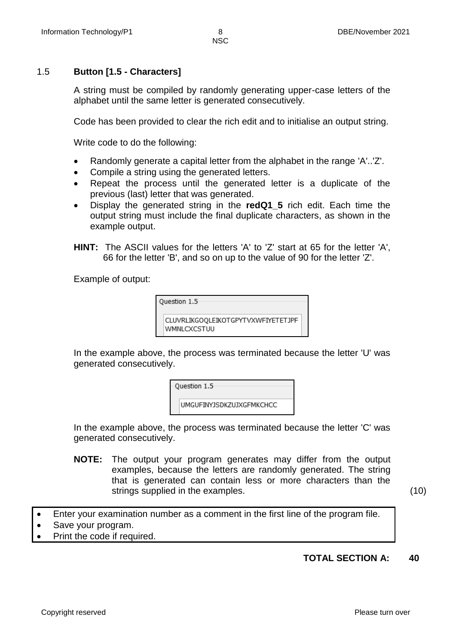# 1.5 **Button [1.5 - Characters]**

A string must be compiled by randomly generating upper-case letters of the alphabet until the same letter is generated consecutively.

Code has been provided to clear the rich edit and to initialise an output string.

Write code to do the following:

- Randomly generate a capital letter from the alphabet in the range 'A'..'Z'.
- Compile a string using the generated letters.
- Repeat the process until the generated letter is a duplicate of the previous (last) letter that was generated.
- Display the generated string in the **redQ1\_5** rich edit. Each time the output string must include the final duplicate characters, as shown in the example output.
- **HINT:** The ASCII values for the letters 'A' to 'Z' start at 65 for the letter 'A', 66 for the letter 'B', and so on up to the value of 90 for the letter 'Z'.

Example of output:

| Question 1.5                                      |  |
|---------------------------------------------------|--|
| CLUVRLIKGOQLEIKOTGPYTVXWFIYETETJPF<br>WMNLCXCSTUU |  |

In the example above, the process was terminated because the letter 'U' was generated consecutively.

| Question 1.5                    |
|---------------------------------|
| <b>UMGUFINYJSDKZUJXGFMKCHCC</b> |

In the example above, the process was terminated because the letter 'C' was generated consecutively.

**NOTE:** The output your program generates may differ from the output examples, because the letters are randomly generated. The string that is generated can contain less or more characters than the strings supplied in the examples. (10)

Enter your examination number as a comment in the first line of the program file.

- Save your program.
- Print the code if required.

# **TOTAL SECTION A: 40**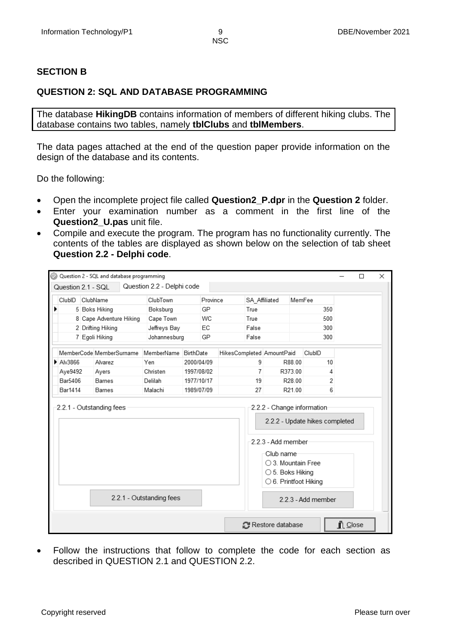## **SECTION B**

# **QUESTION 2: SQL AND DATABASE PROGRAMMING**

The database **HikingDB** contains information of members of different hiking clubs. The database contains two tables, namely **tblClubs** and **tblMembers**.

The data pages attached at the end of the question paper provide information on the design of the database and its contents.

Do the following:

- Open the incomplete project file called **Question2\_P.dpr** in the **Question 2** folder.
- Enter your examination number as a comment in the first line of the **Question2\_U.pas** unit file.
- Compile and execute the program. The program has no functionality currently. The contents of the tables are displayed as shown below on the selection of tab sheet **Question 2.2 - Delphi code**.

| ClubID  | ClubName                           | ClubTown     |            | Province | SA Affiliated |                                      | MemFee |  |
|---------|------------------------------------|--------------|------------|----------|---------------|--------------------------------------|--------|--|
|         | 5 Boks Hiking                      | Boksburg     | GP         |          | True          |                                      | 350    |  |
|         | 8 Cape Adventure Hiking            | Cape Town    | WC         |          | True          |                                      | 500    |  |
|         | 2 Drifting Hiking                  | Jeffreys Bay | EC         |          | False         |                                      | 300    |  |
|         | 7 Egoli Hiking                     | Johannesburg | GP         |          | False         |                                      | 300    |  |
|         | MemberCode MemberSurname           | MemberName   | BirthDate  |          |               | HikesCompleted AmountPaid            | ClubID |  |
| Alv3866 | Alvarez                            | Yen          | 2000/04/09 |          | 9             | R88.00                               | 10     |  |
| Aye9492 | Ayers                              | Christen     | 1997/08/02 |          | 7             | R373.00                              | 4      |  |
|         |                                    |              |            |          |               |                                      |        |  |
| Bar5406 | <b>Barnes</b>                      | Delilah      | 1977/10/17 |          | 19            | R28.00                               | 2      |  |
| Bar1414 | Barnes<br>2.2.1 - Outstanding fees | Malachi      | 1989/07/09 |          | 27            | R21.00<br>2.2.2 - Change information | 6      |  |
|         |                                    |              |            |          |               | 2.2.2 - Update hikes completed       |        |  |
|         |                                    |              |            |          |               | -2.2.3 - Add member                  |        |  |
|         |                                    |              |            |          |               | Club name                            |        |  |
|         |                                    |              |            |          |               | $\bigcirc$ 3. Mountain Free          |        |  |
|         |                                    |              |            |          |               | ○ 5. Boks Hiking                     |        |  |
|         |                                    |              |            |          |               | ○ 6. Printfoot Hiking                |        |  |

 Follow the instructions that follow to complete the code for each section as described in QUESTION 2.1 and QUESTION 2.2.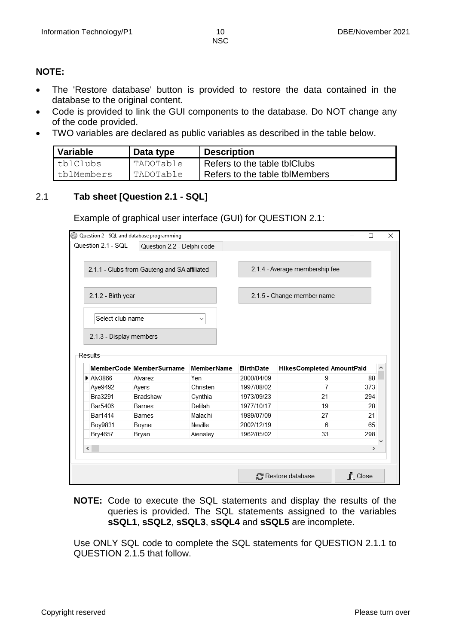#### **NOTE:**

- The 'Restore database' button is provided to restore the data contained in the database to the original content.
- Code is provided to link the GUI components to the database. Do NOT change any of the code provided.
- TWO variables are declared as public variables as described in the table below.

| Variable   | Data type | <b>Description</b>             |
|------------|-----------|--------------------------------|
| tblClubs   | TADOTable | Refers to the table tblClubs   |
| tblMembers | TADOTable | Refers to the table tblMembers |

# 2.1 **Tab sheet [Question 2.1 - SQL]**

Example of graphical user interface (GUI) for QUESTION 2.1:

|           |                                             | Question 2 - SQL and database programming    |              |                  |                                | $\Box$        |   |
|-----------|---------------------------------------------|----------------------------------------------|--------------|------------------|--------------------------------|---------------|---|
|           | Question 2.1 - SQL                          | Question 2.2 - Delphi code                   |              |                  |                                |               |   |
|           |                                             | 2.1.1 - Clubs from Gauteng and SA affiliated |              |                  | 2.1.4 - Average membership fee |               |   |
|           | 2.1.2 - Birth year                          |                                              |              |                  | 2.1.5 - Change member name     |               |   |
|           | Select club name<br>2.1.3 - Display members |                                              | $\checkmark$ |                  |                                |               |   |
|           |                                             |                                              |              |                  |                                |               |   |
| Results   |                                             | MemberCode MemberSurname                     | MemberName   | <b>BirthDate</b> | HikesCompleted AmountPaid      |               | ۸ |
| Alv3866   |                                             | Alvarez                                      | Yen          | 2000/04/09       | 9                              | 88            |   |
|           | Aye9492                                     | Ayers                                        | Christen     | 1997/08/02       | 7                              | 373           |   |
|           | Bra3291                                     | Bradshaw                                     | Cynthia      | 1973/09/23       | 21                             | 294           |   |
|           | Bar5406                                     | Barnes                                       | Delilah      | 1977/10/17       | 19                             | 28            |   |
|           | <b>Bar1414</b>                              | Barnes                                       | Malachi      | 1989/07/09       | 27                             | 21            |   |
|           | Boy9831                                     | Boyner                                       | Neville      | 2002/12/19       | 6                              | 65            |   |
|           | Bry4657                                     | Bryan                                        | Aiensley     | 1962/05/02       | 33                             | 298           |   |
| $\langle$ |                                             |                                              |              |                  |                                | $\rightarrow$ |   |

**NOTE:** Code to execute the SQL statements and display the results of the queries is provided. The SQL statements assigned to the variables **sSQL1**, **sSQL2**, **sSQL3**, **sSQL4** and **sSQL5** are incomplete.

Use ONLY SQL code to complete the SQL statements for QUESTION 2.1.1 to QUESTION 2.1.5 that follow.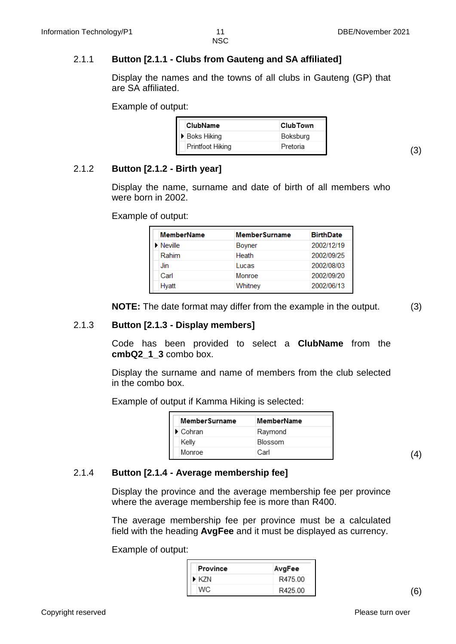# 2.1.1 **Button [2.1.1 - Clubs from Gauteng and SA affiliated]**

Display the names and the towns of all clubs in Gauteng (GP) that are SA affiliated.

Example of output:

| ClubName         | <b>ClubTown</b> |
|------------------|-----------------|
| ▶ Boks Hiking    | Boksburg        |
| Printfoot Hiking | Pretoria        |

2.1.2 **Button [2.1.2 - Birth year]** 

Display the name, surname and date of birth of all members who were born in 2002.

Example of output:

| <b>MemberName</b>     | <b>MemberSurname</b> | <b>BirthDate</b> |
|-----------------------|----------------------|------------------|
| lacktriangleright New | <b>Boyner</b>        | 2002/12/19       |
| Rahim                 | Heath                | 2002/09/25       |
| Jin                   | Lucas                | 2002/08/03       |
| Carl                  | Monroe               | 2002/09/20       |
| Hyatt                 | Whitney              | 2002/06/13       |

**NOTE:** The date format may differ from the example in the output. (3)

(3)

# 2.1.3 **Button [2.1.3 - Display members]**

Code has been provided to select a **ClubName** from the **cmbQ2\_1\_3** combo box.

Display the surname and name of members from the club selected in the combo box.

Example of output if Kamma Hiking is selected:

| MemberSurname                | MemberName |
|------------------------------|------------|
| $\blacktriangleright$ Cohran | Raymond    |
| Kelly                        | Blossom    |
| Monroe                       | Carl       |

(4)

#### 2.1.4 **Button [2.1.4 - Average membership fee]**

Display the province and the average membership fee per province where the average membership fee is more than R400.

The average membership fee per province must be a calculated field with the heading **AvgFee** and it must be displayed as currency.

Example of output:

| Province | AvgFee  |
|----------|---------|
| ▶ KZN    | R475.00 |
| WC.      | R425.00 |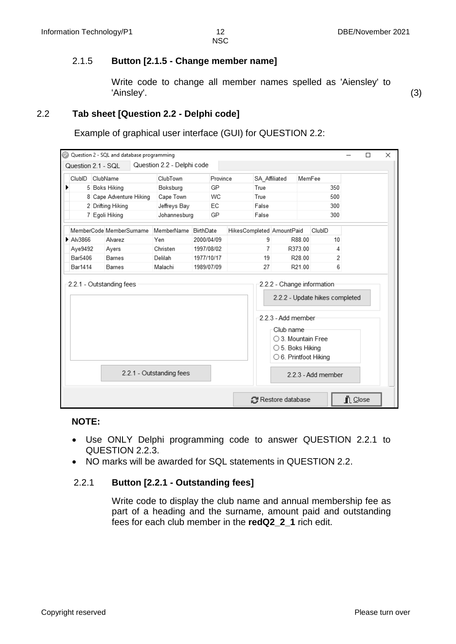# 2.1.5 **Button [2.1.5 - Change member name]**

Write code to change all member names spelled as 'Aiensley' to 'Ainsley'. (3)

# 2.2 **Tab sheet [Question 2.2 - Delphi code]**

Example of graphical user interface (GUI) for QUESTION 2.2:

|                    | Question 2 - SQL and database programming |                            |            |          |                           |                           |                                                              |     |         | □ | × |
|--------------------|-------------------------------------------|----------------------------|------------|----------|---------------------------|---------------------------|--------------------------------------------------------------|-----|---------|---|---|
| Question 2.1 - SQL |                                           | Question 2.2 - Delphi code |            |          |                           |                           |                                                              |     |         |   |   |
| ClubID             | ClubName                                  | ClubTown                   |            | Province | SA Affiliated             |                           | MemFee                                                       |     |         |   |   |
| ▶                  | 5 Boks Hiking                             | Boksburg                   |            | GP       | True                      |                           |                                                              | 350 |         |   |   |
|                    | 8 Cape Adventure Hiking                   | Cape Town                  |            | WC       | True                      |                           |                                                              | 500 |         |   |   |
|                    | 2 Drifting Hiking                         | Jeffreys Bay               |            | EC       | False                     |                           |                                                              | 300 |         |   |   |
|                    | 7 Egoli Hiking                            | Johannesburg               |            | GP       | False                     |                           |                                                              | 300 |         |   |   |
|                    | MemberCode MemberSurname                  | MemberName                 | BirthDate  |          | HikesCompleted AmountPaid |                           | ClubID                                                       |     |         |   |   |
| Alv3866            | Alvarez                                   | Yen                        | 2000/04/09 |          | 9                         | R88.00                    |                                                              | 10  |         |   |   |
| Aye9492            | Ayers                                     | Christen                   | 1997/08/02 |          | 7                         | R373.00                   |                                                              | Δ   |         |   |   |
| Bar5406            | <b>Barnes</b>                             | Delilah                    | 1977/10/17 |          | 19                        | R28.00                    |                                                              | 2   |         |   |   |
| Bar1414            | Barnes                                    | Malachi                    | 1989/07/09 |          | 27                        | R21.00                    |                                                              | 6   |         |   |   |
|                    | 2.2.1 - Outstanding fees                  |                            |            |          |                           |                           | 2.2.2 - Change information<br>2.2.2 - Update hikes completed |     |         |   |   |
|                    |                                           |                            |            |          |                           | -2 2 3 - Add member       |                                                              |     |         |   |   |
|                    |                                           |                            |            |          |                           | Club name                 |                                                              |     |         |   |   |
|                    |                                           |                            |            |          |                           |                           | ○ 3. Mountain Free                                           |     |         |   |   |
|                    |                                           |                            |            |          |                           | $\bigcirc$ 5. Boks Hiking |                                                              |     |         |   |   |
|                    |                                           |                            |            |          |                           |                           | $\bigcirc$ 6. Printfoot Hiking                               |     |         |   |   |
|                    |                                           | 2.2.1 - Outstanding fees   |            |          |                           |                           | 2 2 3 - Add member                                           |     |         |   |   |
|                    |                                           |                            |            |          |                           | Restore database          |                                                              |     | L Close |   |   |

#### **NOTE:**

- Use ONLY Delphi programming code to answer QUESTION 2.2.1 to QUESTION 2.2.3.
- NO marks will be awarded for SQL statements in QUESTION 2.2.

#### 2.2.1 **Button [2.2.1 - Outstanding fees]**

Write code to display the club name and annual membership fee as part of a heading and the surname, amount paid and outstanding fees for each club member in the **redQ2\_2\_1** rich edit.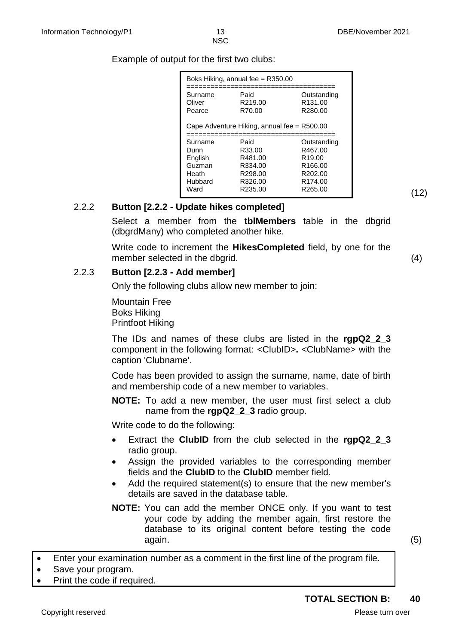Example of output for the first two clubs:

|                                                                  | Boks Hiking, annual fee = R350.00                                     |                                                                                                                              |
|------------------------------------------------------------------|-----------------------------------------------------------------------|------------------------------------------------------------------------------------------------------------------------------|
| Surname<br>Oliver<br>Pearce                                      | Paid<br>R <sub>219.00</sub><br>R70.00                                 | Outstanding<br>R <sub>131.00</sub><br>R280.00                                                                                |
|                                                                  | Cape Adventure Hiking, annual fee = R500.00                           |                                                                                                                              |
| Surname<br>Dunn<br>English<br>Guzman<br>Heath<br>Hubbard<br>Ward | Paid<br>R33.00<br>R481.00<br>R334.00<br>R298.00<br>R326.00<br>R235.00 | Outstanding<br>R467.00<br>R <sub>19.00</sub><br>R <sub>166.00</sub><br>R <sub>202.00</sub><br>R <sub>174.00</sub><br>R265.00 |

## 2.2.2 **Button [2.2.2 - Update hikes completed]**

Select a member from the **tblMembers** table in the dbgrid (dbgrdMany) who completed another hike.

Write code to increment the **HikesCompleted** field, by one for the member selected in the dbarid. (4)  $(4)$ 

#### 2.2.3 **Button [2.2.3 - Add member]**

Only the following clubs allow new member to join:

Mountain Free Boks Hiking Printfoot Hiking

The IDs and names of these clubs are listed in the **rgpQ2\_2\_3**  component in the following format: <ClubID>**.** <ClubName> with the caption 'Clubname'.

Code has been provided to assign the surname, name, date of birth and membership code of a new member to variables.

**NOTE:** To add a new member, the user must first select a club name from the **rgpQ2\_2\_3** radio group.

Write code to do the following:

- Extract the **ClubID** from the club selected in the **rgpQ2\_2\_3** radio group.
- Assign the provided variables to the corresponding member fields and the **ClubID** to the **ClubID** member field.
- Add the required statement(s) to ensure that the new member's details are saved in the database table.
- **NOTE:** You can add the member ONCE only. If you want to test your code by adding the member again, first restore the database to its original content before testing the code again. (5)

(12)

Enter your examination number as a comment in the first line of the program file.

- Save your program.
- Print the code if required.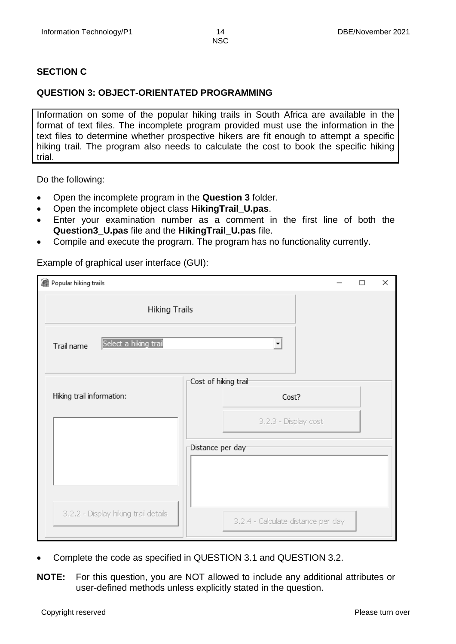## **SECTION C**

### **QUESTION 3: OBJECT-ORIENTATED PROGRAMMING**

Information on some of the popular hiking trails in South Africa are available in the format of text files. The incomplete program provided must use the information in the text files to determine whether prospective hikers are fit enough to attempt a specific hiking trail. The program also needs to calculate the cost to book the specific hiking trial.

Do the following:

- Open the incomplete program in the **Question 3** folder.
- Open the incomplete object class **HikingTrail\_U.pas**.
- Enter your examination number as a comment in the first line of both the **Question3\_U.pas** file and the **HikingTrail\_U.pas** file.
- Compile and execute the program. The program has no functionality currently.

Example of graphical user interface (GUI):

| Popular hiking trails                |                                          | П | × |
|--------------------------------------|------------------------------------------|---|---|
| <b>Hiking Trails</b>                 |                                          |   |   |
| Select a hiking trail<br>Trail name  | $\blacktriangledown$                     |   |   |
|                                      | $\sqsubset$ Cost of hiking trai $\vdash$ |   |   |
| Hiking trail information:            | Cost?                                    |   |   |
|                                      | 3.2.3 - Display cost                     |   |   |
|                                      | Distance per day-                        |   |   |
|                                      |                                          |   |   |
|                                      |                                          |   |   |
| 3.2.2 - Display hiking trail details | 3.2.4 - Calculate distance per day       |   |   |

- Complete the code as specified in QUESTION 3.1 and QUESTION 3.2.
- **NOTE:** For this question, you are NOT allowed to include any additional attributes or user-defined methods unless explicitly stated in the question.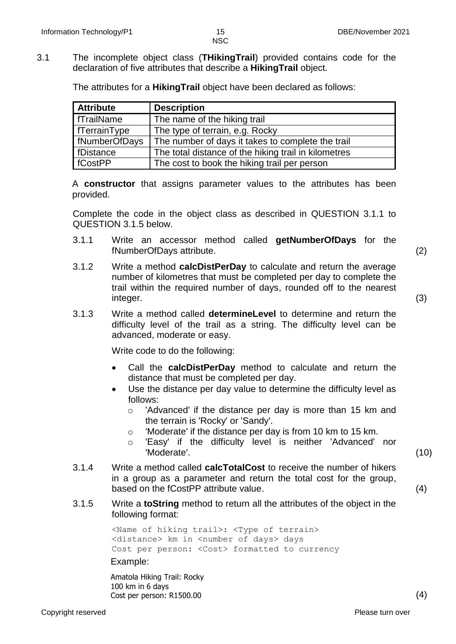3.1 The incomplete object class (**THikingTrail**) provided contains code for the declaration of five attributes that describe a **HikingTrail** object.

The attributes for a **HikingTrail** object have been declared as follows:

| <b>Attribute</b>    | <b>Description</b>                                   |
|---------------------|------------------------------------------------------|
| <b>fTrailName</b>   | The name of the hiking trail                         |
| <b>fTerrainType</b> | The type of terrain, e.g. Rocky                      |
| fNumberOfDays       | The number of days it takes to complete the trail    |
| fDistance           | The total distance of the hiking trail in kilometres |
| <b>fCostPP</b>      | The cost to book the hiking trail per person         |

A **constructor** that assigns parameter values to the attributes has been provided.

Complete the code in the object class as described in QUESTION 3.1.1 to QUESTION 3.1.5 below.

- 3.1.1 Write an accessor method called **getNumberOfDays** for the fNumberOfDays attribute. (2)
- 3.1.2 Write a method **calcDistPerDay** to calculate and return the average number of kilometres that must be completed per day to complete the trail within the required number of days, rounded off to the nearest integer. (3)
- 3.1.3 Write a method called **determineLevel** to determine and return the difficulty level of the trail as a string. The difficulty level can be advanced, moderate or easy.

Write code to do the following:

- Call the **calcDistPerDay** method to calculate and return the distance that must be completed per day.
- Use the distance per day value to determine the difficulty level as follows:
	- o 'Advanced' if the distance per day is more than 15 km and the terrain is 'Rocky' or 'Sandy'.
	- o 'Moderate' if the distance per day is from 10 km to 15 km.
	- o 'Easy' if the difficulty level is neither 'Advanced' nor 'Moderate'. (10)
		-
- 3.1.4 Write a method called **calcTotalCost** to receive the number of hikers in a group as a parameter and return the total cost for the group, based on the fCostPP attribute value. (4)
- 3.1.5 Write a **toString** method to return all the attributes of the object in the following format:

<Name of hiking trail>: <Type of terrain> <distance> km in <number of days> days Cost per person: <Cost> formatted to currency

Example:

Amatola Hiking Trail: Rocky 100 km in 6 days Cost per person: R1500.00 (4)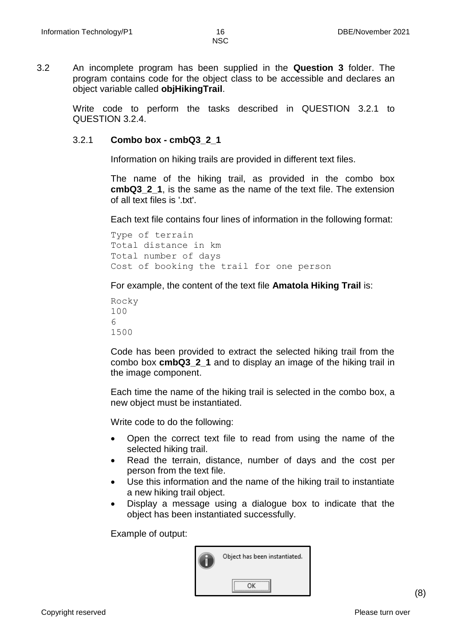3.2 An incomplete program has been supplied in the **Question 3** folder. The program contains code for the object class to be accessible and declares an object variable called **objHikingTrail**.

Write code to perform the tasks described in QUESTION 3.2.1 to QUESTION 3.2.4.

#### 3.2.1 **Combo box - cmbQ3\_2\_1**

Information on hiking trails are provided in different text files.

The name of the hiking trail, as provided in the combo box **cmbQ3\_2\_1**, is the same as the name of the text file. The extension of all text files is ' txt'

Each text file contains four lines of information in the following format:

Type of terrain Total distance in km Total number of days Cost of booking the trail for one person

For example, the content of the text file **Amatola Hiking Trail** is:

Code has been provided to extract the selected hiking trail from the combo box **cmbQ3\_2\_1** and to display an image of the hiking trail in the image component.

Each time the name of the hiking trail is selected in the combo box, a new object must be instantiated.

Write code to do the following:

- Open the correct text file to read from using the name of the selected hiking trail.
- Read the terrain, distance, number of days and the cost per person from the text file.
- Use this information and the name of the hiking trail to instantiate a new hiking trail object.
- Display a message using a dialogue box to indicate that the object has been instantiated successfully.

Example of output:

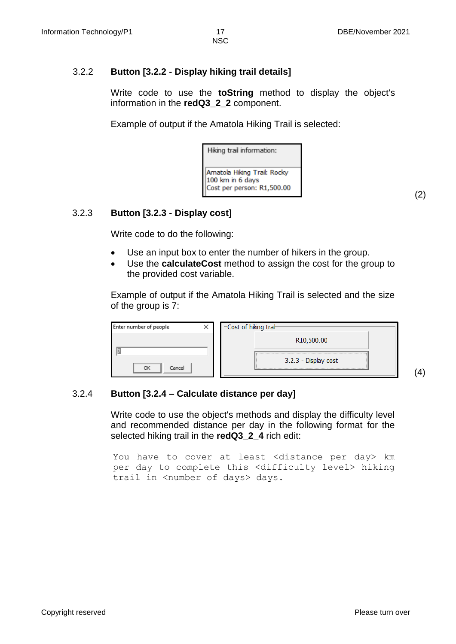(2)

(4)

NSC

# 3.2.2 **Button [3.2.2 - Display hiking trail details]**

Write code to use the **toString** method to display the object's information in the **redQ3\_2\_2** component.

Example of output if the Amatola Hiking Trail is selected:

Hiking trail information: Amatola Hiking Trail: Rocky 100 km in 6 days Cost per person: R1,500.00

# 3.2.3 **Button [3.2.3 - Display cost]**

Write code to do the following:

- Use an input box to enter the number of hikers in the group.
- Use the **calculateCost** method to assign the cost for the group to the provided cost variable.

Example of output if the Amatola Hiking Trail is selected and the size of the group is 7:

| Enter number of people |  | <b>FCost of hiking trail</b> |
|------------------------|--|------------------------------|
|                        |  | R <sub>10</sub> ,500.00      |
| ОΚ<br>Cancel           |  | 3.2.3 - Display cost         |

# 3.2.4 **Button [3.2.4 – Calculate distance per day]**

Write code to use the object's methods and display the difficulty level and recommended distance per day in the following format for the selected hiking trail in the **redQ3\_2\_4** rich edit:

You have to cover at least <distance per day> km per day to complete this <difficulty level> hiking trail in <number of days> days.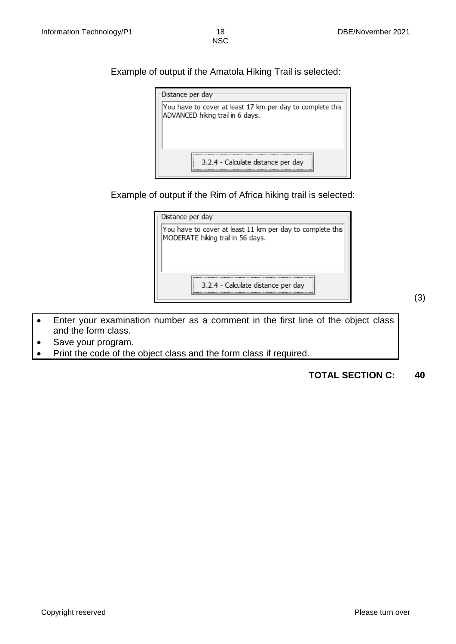Example of output if the Amatola Hiking Trail is selected:



Example of output if the Rim of Africa hiking trail is selected:

| Distance per day <sup>.</sup>                                                                  |
|------------------------------------------------------------------------------------------------|
| You have to cover at least 11 km per day to complete this<br>MODERATE hiking trail in 56 days. |
|                                                                                                |
| 3.2.4 - Calculate distance per day                                                             |

(3)

- Enter your examination number as a comment in the first line of the object class and the form class.
- Save your program.
- Print the code of the object class and the form class if required.

**TOTAL SECTION C: 40**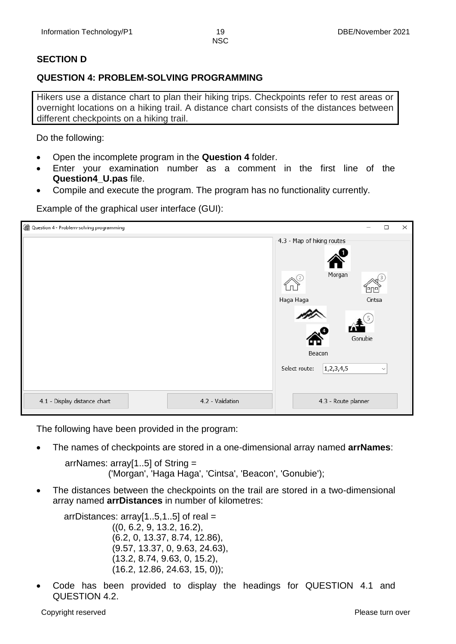# **SECTION D**

# **QUESTION 4: PROBLEM-SOLVING PROGRAMMING**

Hikers use a distance chart to plan their hiking trips. Checkpoints refer to rest areas or overnight locations on a hiking trail. A distance chart consists of the distances between different checkpoints on a hiking trail.

Do the following:

- Open the incomplete program in the **Question 4** folder.
- Enter your examination number as a comment in the first line of the **Question4\_U.pas** file.
- Compile and execute the program. The program has no functionality currently.

| Question 4 - Problem-solving programming         | ×<br>П                                         |
|--------------------------------------------------|------------------------------------------------|
|                                                  | 4.3 - Map of hiking routes                     |
|                                                  | Morgan                                         |
|                                                  | Haga Haga<br>Cintsa<br>Gonubie<br>Beacon       |
|                                                  | 1, 2, 3, 4, 5<br>Select route:<br>$\checkmark$ |
| 4.1 - Display distance chart<br>4.2 - Validation | 4.3 - Route planner                            |

Example of the graphical user interface (GUI):

The following have been provided in the program:

The names of checkpoints are stored in a one-dimensional array named **arrNames**:

arrNames: array[1..5] of String = ('Morgan', 'Haga Haga', 'Cintsa', 'Beacon', 'Gonubie');

 The distances between the checkpoints on the trail are stored in a two-dimensional array named **arrDistances** in number of kilometres:

arrDistances:  $arrav[1..5,1..5]$  of real = ((0, 6.2, 9, 13.2, 16.2), (6.2, 0, 13.37, 8.74, 12.86), (9.57, 13.37, 0, 9.63, 24.63), (13.2, 8.74, 9.63, 0, 15.2), (16.2, 12.86, 24.63, 15, 0));

 Code has been provided to display the headings for QUESTION 4.1 and QUESTION 4.2.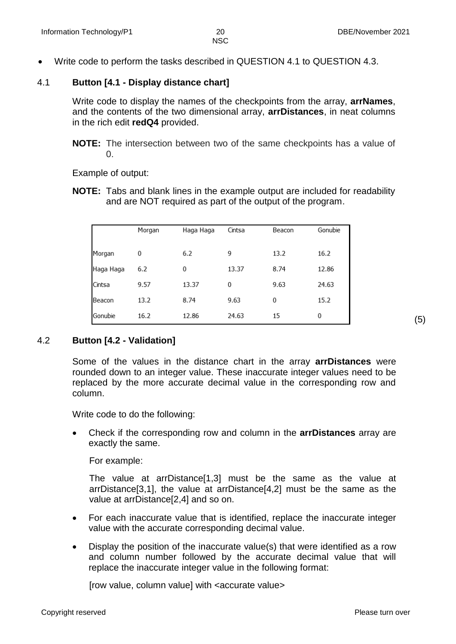Write code to perform the tasks described in QUESTION 4.1 to QUESTION 4.3.

### 4.1 **Button [4.1 - Display distance chart]**

Write code to display the names of the checkpoints from the array, **arrNames**, and the contents of the two dimensional array, **arrDistances**, in neat columns in the rich edit **redQ4** provided.

**NOTE:** The intersection between two of the same checkpoints has a value of  $\Omega$ .

Example of output:

**NOTE:** Tabs and blank lines in the example output are included for readability and are NOT required as part of the output of the program.

|           | Morgan | Haga Haga | Cintsa | Beacon | Gonubie |
|-----------|--------|-----------|--------|--------|---------|
| Morgan    | 0      | 6.2       | 9      | 13.2   | 16.2    |
| Haga Haga | 6.2    | 0         | 13.37  | 8.74   | 12.86   |
| Cintsa    | 9.57   | 13.37     | 0      | 9.63   | 24.63   |
| Beacon    | 13.2   | 8.74      | 9.63   | 0      | 15.2    |
| Gonubie   | 16.2   | 12.86     | 24.63  | 15     | 0       |

#### 4.2 **Button [4.2 - Validation]**

Some of the values in the distance chart in the array **arrDistances** were rounded down to an integer value. These inaccurate integer values need to be replaced by the more accurate decimal value in the corresponding row and column.

Write code to do the following:

 Check if the corresponding row and column in the **arrDistances** array are exactly the same.

For example:

The value at arrDistance[1,3] must be the same as the value at arrDistance[3,1], the value at arrDistance[4,2] must be the same as the value at arrDistance[2,4] and so on.

- For each inaccurate value that is identified, replace the inaccurate integer value with the accurate corresponding decimal value.
- Display the position of the inaccurate value(s) that were identified as a row and column number followed by the accurate decimal value that will replace the inaccurate integer value in the following format:

[row value, column value] with <accurate value>

(5)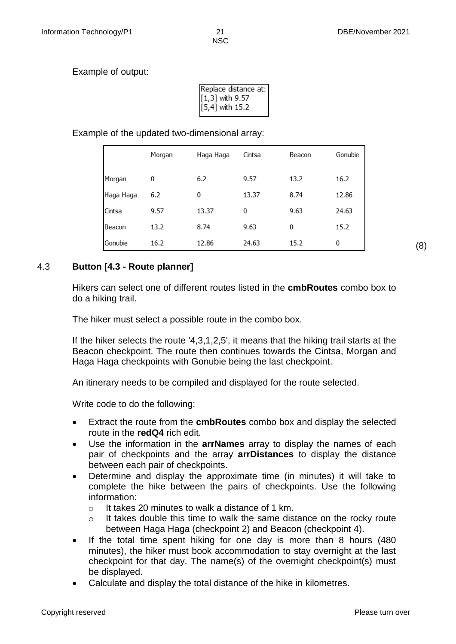Example of output:

| Replace distance at: |
|----------------------|
| $[1,3]$ with 9.57    |
| $[5,4]$ with 15.2    |
|                      |

Example of the updated two-dimensional array:

|           | Morgan | Haga Haga | Cintsa | Beacon | Gonubie |
|-----------|--------|-----------|--------|--------|---------|
| Morgan    | 0      | 6.2       | 9.57   | 13.2   | 16.2    |
| Haga Haga | 6.2    | 0         | 13.37  | 8.74   | 12.86   |
| Cintsa    | 9.57   | 13.37     | 0      | 9.63   | 24.63   |
| Beacon    | 13.2   | 8.74      | 9.63   | 0      | 15.2    |
| Gonubie   | 16.2   | 12.86     | 24.63  | 15.2   | 0       |

4.3 **Button [4.3 - Route planner]**

Hikers can select one of different routes listed in the **cmbRoutes** combo box to do a hiking trail.

The hiker must select a possible route in the combo box.

If the hiker selects the route '4,3,1,2,5', it means that the hiking trail starts at the Beacon checkpoint. The route then continues towards the Cintsa, Morgan and Haga Haga checkpoints with Gonubie being the last checkpoint.

An itinerary needs to be compiled and displayed for the route selected.

Write code to do the following:

- Extract the route from the **cmbRoutes** combo box and display the selected route in the **redQ4** rich edit.
- Use the information in the **arrNames** array to display the names of each pair of checkpoints and the array **arrDistances** to display the distance between each pair of checkpoints.
- Determine and display the approximate time (in minutes) it will take to complete the hike between the pairs of checkpoints. Use the following information:
	- o It takes 20 minutes to walk a distance of 1 km.
	- $\circ$  It takes double this time to walk the same distance on the rocky route between Haga Haga (checkpoint 2) and Beacon (checkpoint 4).
- If the total time spent hiking for one day is more than 8 hours (480 minutes), the hiker must book accommodation to stay overnight at the last checkpoint for that day. The name(s) of the overnight checkpoint(s) must be displayed.
- Calculate and display the total distance of the hike in kilometres.

(8)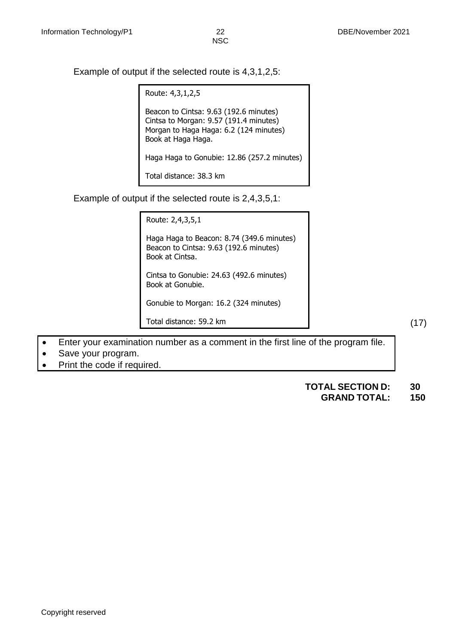Example of output if the selected route is 4,3,1,2,5:

Route: 4,3,1,2,5 Beacon to Cintsa: 9.63 (192.6 minutes) Cintsa to Morgan: 9.57 (191.4 minutes) Morgan to Haga Haga: 6.2 (124 minutes) Book at Haga Haga. Haga Haga to Gonubie: 12.86 (257.2 minutes) Total distance: 38.3 km

Example of output if the selected route is 2,4,3,5,1:

Route: 2,4,3,5,1

Haga Haga to Beacon: 8.74 (349.6 minutes) Beacon to Cintsa: 9.63 (192.6 minutes) Book at Cintsa.

Cintsa to Gonubie: 24.63 (492.6 minutes) Book at Gonubie.

Gonubie to Morgan: 16.2 (324 minutes)

Total distance: 59.2 km

Enter your examination number as a comment in the first line of the program file.

- Save your program.
- Print the code if required.

#### **TOTAL SECTION D: 30**

#### **GRAND TOTAL: 150**

(17)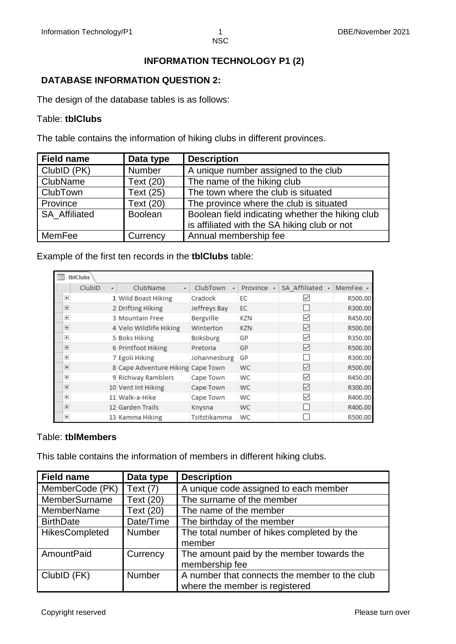# **INFORMATION TECHNOLOGY P1 (2)**

# **DATABASE INFORMATION QUESTION 2:**

The design of the database tables is as follows:

#### Table: **tblClubs**

The table contains the information of hiking clubs in different provinces.

| <b>Field name</b>    | Data type      | <b>Description</b>                                                                               |
|----------------------|----------------|--------------------------------------------------------------------------------------------------|
| ClubID (PK)          | Number         | A unique number assigned to the club                                                             |
| ClubName             | Text (20)      | The name of the hiking club                                                                      |
| <b>ClubTown</b>      | Text (25)      | The town where the club is situated                                                              |
| Province             | Text (20)      | The province where the club is situated                                                          |
| <b>SA Affiliated</b> | <b>Boolean</b> | Boolean field indicating whether the hiking club<br>is affiliated with the SA hiking club or not |
| MemFee               | Currency       | Annual membership fee                                                                            |

Example of the first ten records in the **tblClubs** table:

| tblClubs       |        |    |                                   |               |            |                    |          |
|----------------|--------|----|-----------------------------------|---------------|------------|--------------------|----------|
|                | ClubID | ÷. | ClubName<br>$\mathbf{v}$          | ClubTown<br>÷ | Province - | SA Affiliated<br>÷ | MemFee - |
| $\overline{+}$ |        |    | 1 Wild Boast Hiking               | Cradock       | ЕC         | ∨                  | R500.00  |
| $\overline{+}$ |        |    | 2 Drifting Hiking                 | Jeffreys Bay  | EC         |                    | R300.00  |
| $\overline{+}$ |        |    | 3 Mountain Free                   | Bergville     | KZN        | $\checkmark$       | R450.00  |
| $\overline{+}$ |        |    | 4 Velo Wildlife Hiking            | Winterton     | KZN        | ∨                  | R500.00  |
| $\overline{+}$ |        |    | 5 Boks Hiking                     | Boksburg      | GP         | $\checkmark$       | R350.00  |
| $\overline{+}$ |        |    | 6 Printfoot Hiking                | Pretoria      | GP         | ✓                  | R500.00  |
| $\overline{+}$ |        |    | 7 Egoli Hiking                    | Johannesburg  | GP         |                    | R300.00  |
| $\overline{+}$ |        |    | 8 Cape Adventure Hiking Cape Town |               | <b>WC</b>  | ∨                  | R500.00  |
| $\overline{+}$ |        |    | 9 Richway Ramblers                | Cape Town     | WC         | ✓                  | R450.00  |
| $\overline{+}$ |        |    | 10 Vent Int Hiking                | Cape Town     | <b>WC</b>  | ⋈                  | R300.00  |
| $\overline{+}$ |        |    | 11 Walk-a-Hike                    | Cape Town     | WC         | $\checkmark$       | R400.00  |
| $\overline{+}$ |        |    | 12 Garden Trails                  | Knysna        | <b>WC</b>  |                    | R400.00  |
| $+$            |        |    | 13 Kamma Hiking                   | Tsitstikamma  | WC         |                    | R500.00  |

#### Table: **tblMembers**

This table contains the information of members in different hiking clubs.

| <b>Field name</b>               | Data type     | <b>Description</b>                            |  |  |
|---------------------------------|---------------|-----------------------------------------------|--|--|
| MemberCode (PK)                 | Text $(7)$    | A unique code assigned to each member         |  |  |
| MemberSurname                   | Text (20)     | The surname of the member                     |  |  |
| MemberName                      | Text (20)     | The name of the member                        |  |  |
| <b>BirthDate</b>                | Date/Time     | The birthday of the member                    |  |  |
| HikesCompleted<br><b>Number</b> |               | The total number of hikes completed by the    |  |  |
|                                 |               | member                                        |  |  |
| AmountPaid                      | Currency      | The amount paid by the member towards the     |  |  |
|                                 |               | membership fee                                |  |  |
| ClubID (FK)                     | <b>Number</b> | A number that connects the member to the club |  |  |
|                                 |               | where the member is registered                |  |  |